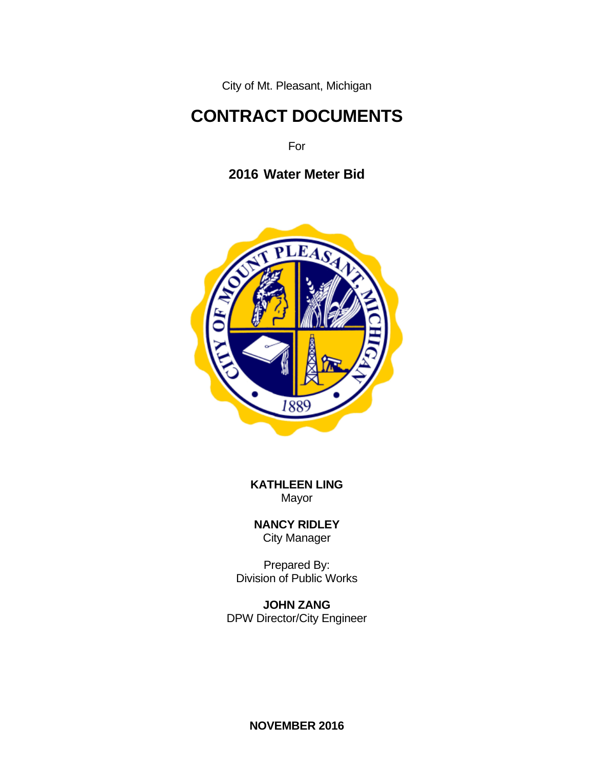City of Mt. Pleasant, Michigan

# **CONTRACT DOCUMENTS**

For

**2016 Water Meter Bid**



**KATHLEEN LING** Mayor

**NANCY RIDLEY** City Manager

Prepared By: Division of Public Works

**JOHN ZANG** DPW Director/City Engineer

**NOVEMBER 2016**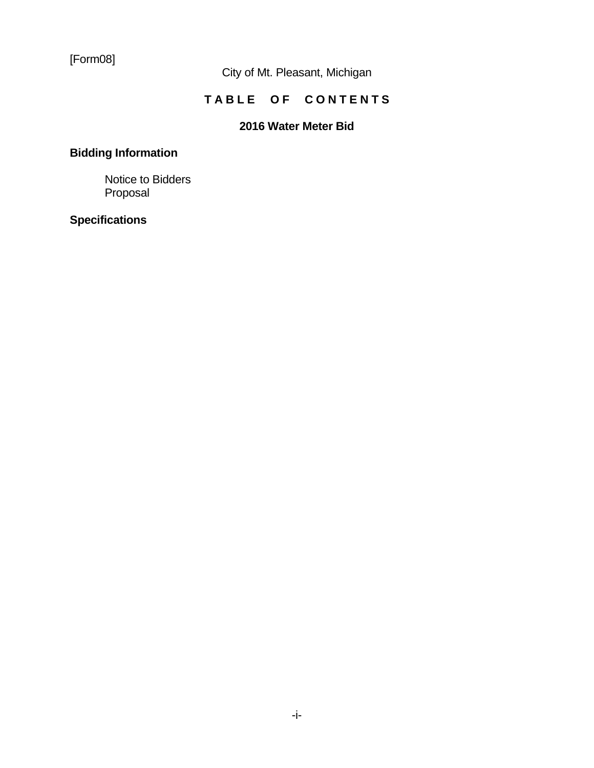[Form08]

City of Mt. Pleasant, Michigan

# **TABLE OF CONTENTS**

### **2016 Water Meter Bid**

# **Bidding Information**

 Notice to Bidders Proposal

### **Specifications**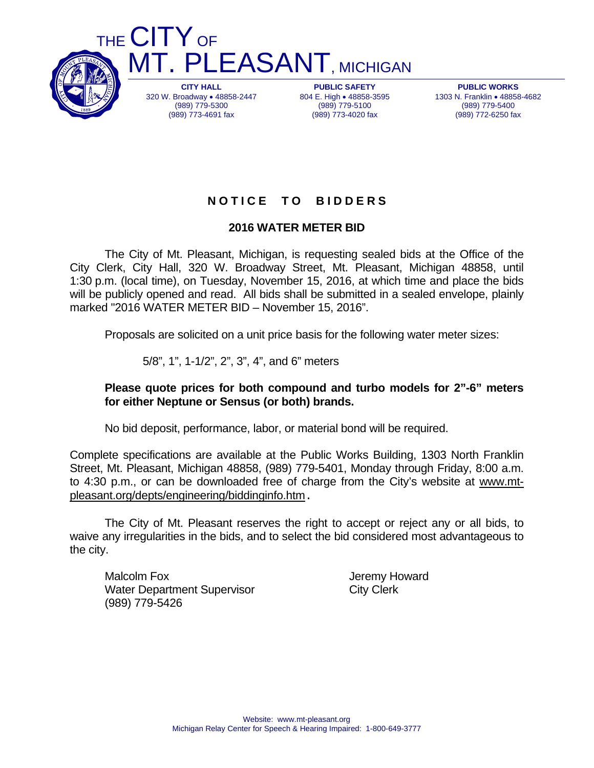

320 W. Broadway 48858-2447 (989) 779-5300 (989) 773-4691 fax

804 E. High . 48858-3595 (989) 779-5100 (989) 773-4020 fax

**PUBLIC WORKS**  1303 N. Franklin 48858-4682 (989) 779-5400 (989) 772-6250 fax

### **N O T I C E T O B I D D E R S**

#### **2016 WATER METER BID**

The City of Mt. Pleasant, Michigan, is requesting sealed bids at the Office of the City Clerk, City Hall, 320 W. Broadway Street, Mt. Pleasant, Michigan 48858, until 1:30 p.m. (local time), on Tuesday, November 15, 2016, at which time and place the bids will be publicly opened and read. All bids shall be submitted in a sealed envelope, plainly marked "2016 WATER METER BID – November 15, 2016".

Proposals are solicited on a unit price basis for the following water meter sizes:

5/8", 1", 1-1/2", 2", 3", 4", and 6" meters

#### **Please quote prices for both compound and turbo models for 2"-6" meters for either Neptune or Sensus (or both) brands.**

No bid deposit, performance, labor, or material bond will be required.

Complete specifications are available at the Public Works Building, 1303 North Franklin Street, Mt. Pleasant, Michigan 48858, (989) 779-5401, Monday through Friday, 8:00 a.m. to 4:30 p.m., or can be downloaded free of charge from the City's website at www.mtpleasant.org/depts/engineering/biddinginfo.htm.

The City of Mt. Pleasant reserves the right to accept or reject any or all bids, to waive any irregularities in the bids, and to select the bid considered most advantageous to the city.

Malcolm Fox **Malcolm Fox** Server The Malcolm Fox 3.1 The Malcolm Theorem Intervention of the Malcolm Theorem Intervention of the Malcolm Theorem Intervention of the Malcolm Theorem Intervention of the Malcolm Theorem Inter Water Department Supervisor **City Clerk** (989) 779-5426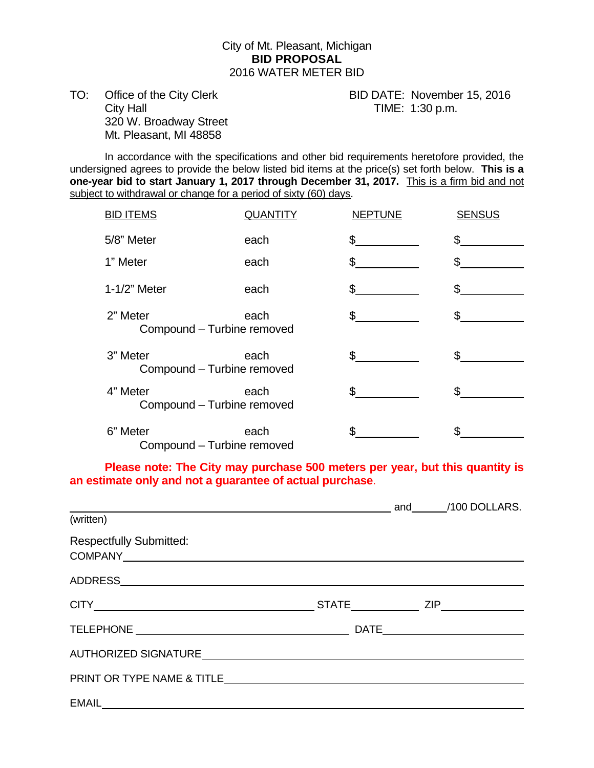#### City of Mt. Pleasant, Michigan **BID PROPOSAL**  2016 WATER METER BID

TO: Office of the City Clerk BID DATE: November 15, 2016 City Hall City Hall City Hall City Hall City Hall City Hall City Hall City Hall City Hall City Hall City Hall City Hall City Hall City Hall City Hall City Hall City Hall City Hall City Hall City Hall City Hall City Hall Ci 320 W. Broadway Street Mt. Pleasant, MI 48858

 In accordance with the specifications and other bid requirements heretofore provided, the undersigned agrees to provide the below listed bid items at the price(s) set forth below. **This is a one-year bid to start January 1, 2017 through December 31, 2017.** This is a firm bid and not subject to withdrawal or change for a period of sixty (60) days.

| <b>BID ITEMS</b>                       | <b>QUANTITY</b> | <b>NEPTUNE</b> | <b>SENSUS</b> |
|----------------------------------------|-----------------|----------------|---------------|
| 5/8" Meter                             | each            | \$             | \$.           |
| 1" Meter                               | each            | \$             |               |
| 1-1/2" Meter                           | each            | \$             | £.            |
| 2" Meter<br>Compound - Turbine removed | each            | \$             | \$            |
| 3" Meter<br>Compound - Turbine removed | each            | \$             | \$            |
| 4" Meter<br>Compound - Turbine removed | each            | \$.            | \$            |
| 6" Meter<br>Compound - Turbine removed | each            | \$             |               |

 **Please note: The City may purchase 500 meters per year, but this quantity is an estimate only and not a guarantee of actual purchase**.

| and the contract of the contract of the contract of the contract of the contract of the contract of the contract of the contract of the contract of the contract of the contract of the contract of the contract of the contra |  |  |  |  |
|--------------------------------------------------------------------------------------------------------------------------------------------------------------------------------------------------------------------------------|--|--|--|--|
| $\overline{\text{(written)}}$                                                                                                                                                                                                  |  |  |  |  |
| <b>Respectfully Submitted:</b>                                                                                                                                                                                                 |  |  |  |  |
|                                                                                                                                                                                                                                |  |  |  |  |
| CITY ZIP                                                                                                                                                                                                                       |  |  |  |  |
|                                                                                                                                                                                                                                |  |  |  |  |
|                                                                                                                                                                                                                                |  |  |  |  |
|                                                                                                                                                                                                                                |  |  |  |  |
|                                                                                                                                                                                                                                |  |  |  |  |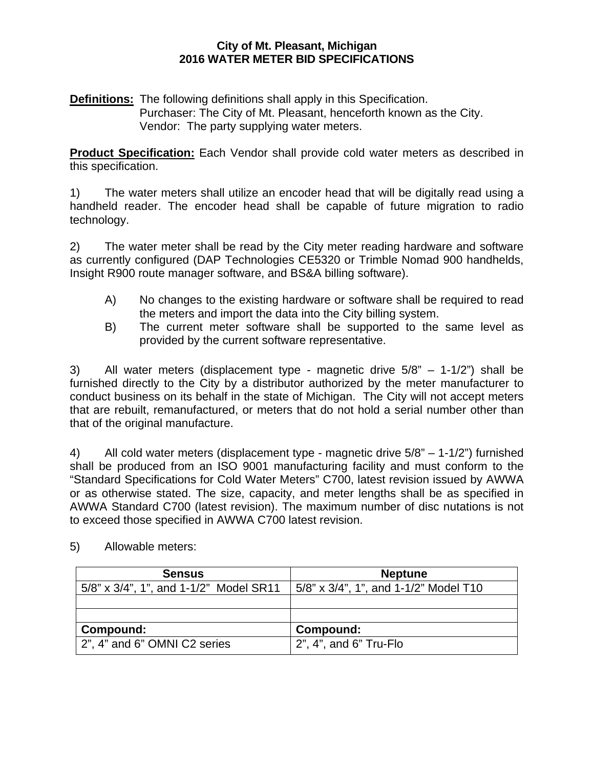#### **City of Mt. Pleasant, Michigan 2016 WATER METER BID SPECIFICATIONS**

**Definitions:** The following definitions shall apply in this Specification.

Purchaser: The City of Mt. Pleasant, henceforth known as the City. Vendor: The party supplying water meters.

**Product Specification:** Each Vendor shall provide cold water meters as described in this specification.

1) The water meters shall utilize an encoder head that will be digitally read using a handheld reader. The encoder head shall be capable of future migration to radio technology.

2) The water meter shall be read by the City meter reading hardware and software as currently configured (DAP Technologies CE5320 or Trimble Nomad 900 handhelds, Insight R900 route manager software, and BS&A billing software).

- A) No changes to the existing hardware or software shall be required to read the meters and import the data into the City billing system.
- B) The current meter software shall be supported to the same level as provided by the current software representative.

3) All water meters (displacement type - magnetic drive 5/8" – 1-1/2") shall be furnished directly to the City by a distributor authorized by the meter manufacturer to conduct business on its behalf in the state of Michigan. The City will not accept meters that are rebuilt, remanufactured, or meters that do not hold a serial number other than that of the original manufacture.

4) All cold water meters (displacement type - magnetic drive 5/8" – 1-1/2") furnished shall be produced from an ISO 9001 manufacturing facility and must conform to the "Standard Specifications for Cold Water Meters" C700, latest revision issued by AWWA or as otherwise stated. The size, capacity, and meter lengths shall be as specified in AWWA Standard C700 (latest revision). The maximum number of disc nutations is not to exceed those specified in AWWA C700 latest revision.

| <b>Sensus</b>                          | <b>Neptune</b>                        |
|----------------------------------------|---------------------------------------|
| 5/8" x 3/4", 1", and 1-1/2" Model SR11 | 5/8" x 3/4", 1", and 1-1/2" Model T10 |
|                                        |                                       |
|                                        |                                       |
| Compound:                              | Compound:                             |
| 2", 4" and 6" OMNI C2 series           | 2", 4", and 6" Tru-Flo                |

5) Allowable meters: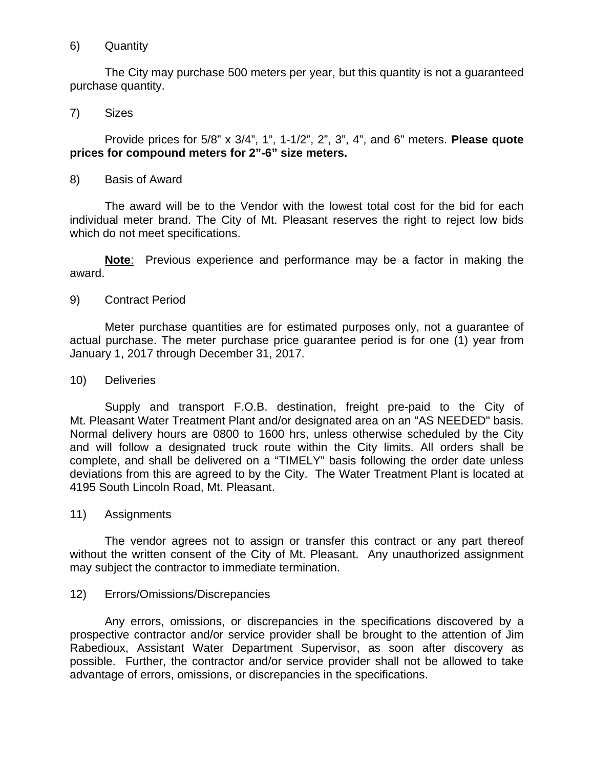#### 6) Quantity

The City may purchase 500 meters per year, but this quantity is not a guaranteed purchase quantity.

#### 7) Sizes

Provide prices for 5/8" x 3/4", 1", 1-1/2", 2", 3", 4", and 6" meters. **Please quote prices for compound meters for 2"-6" size meters.** 

#### 8) Basis of Award

The award will be to the Vendor with the lowest total cost for the bid for each individual meter brand. The City of Mt. Pleasant reserves the right to reject low bids which do not meet specifications.

**Note**: Previous experience and performance may be a factor in making the award.

#### 9) Contract Period

Meter purchase quantities are for estimated purposes only, not a guarantee of actual purchase. The meter purchase price guarantee period is for one (1) year from January 1, 2017 through December 31, 2017.

#### 10) Deliveries

Supply and transport F.O.B. destination, freight pre-paid to the City of Mt. Pleasant Water Treatment Plant and/or designated area on an "AS NEEDED" basis. Normal delivery hours are 0800 to 1600 hrs, unless otherwise scheduled by the City and will follow a designated truck route within the City limits. All orders shall be complete, and shall be delivered on a "TIMELY" basis following the order date unless deviations from this are agreed to by the City. The Water Treatment Plant is located at 4195 South Lincoln Road, Mt. Pleasant.

#### 11) Assignments

The vendor agrees not to assign or transfer this contract or any part thereof without the written consent of the City of Mt. Pleasant. Any unauthorized assignment may subject the contractor to immediate termination.

#### 12) Errors/Omissions/Discrepancies

Any errors, omissions, or discrepancies in the specifications discovered by a prospective contractor and/or service provider shall be brought to the attention of Jim Rabedioux, Assistant Water Department Supervisor, as soon after discovery as possible. Further, the contractor and/or service provider shall not be allowed to take advantage of errors, omissions, or discrepancies in the specifications.